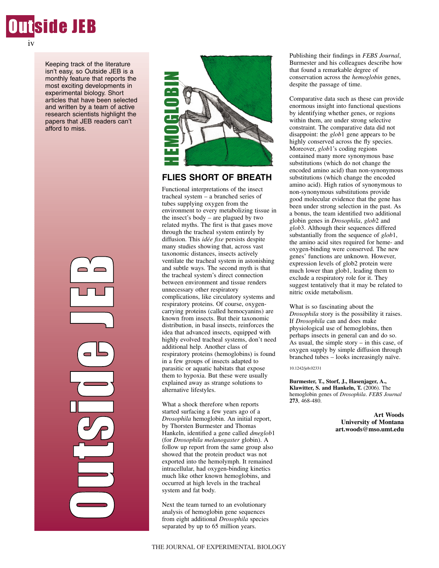

iv

Keeping track of the literature isn't easy, so Outside JEB is a monthly feature that reports the most exciting developments in experimental biology. Short articles that have been selected and written by a team of active research scientists highlight the papers that JEB readers can't afford to miss.

> O**uries de la propriétait de la propriétait de la propriétait de la propriétait de la propriétait de la propriéta**<br>La propriétait de la propriétait de la propriétait de la propriétait de la propriétait de la propriétait de t $\mathcal{C}_{\mathcal{P}}$ in 1996.<br>Provincia de la contrada de la contrada de la contrada de la contrada de la contrada de la contrada de la cont d<br>U e J **Punu** P)



## **FLIES SHORT OF BREATH**

Functional interpretations of the insect tracheal system – a branched series of tubes supplying oxygen from the environment to every metabolizing tissue in the insect's body – are plagued by two related myths. The first is that gases move through the tracheal system entirely by diffusion. This *idée fixe* persists despite many studies showing that, across vast taxonomic distances, insects actively ventilate the tracheal system in astonishing and subtle ways. The second myth is that the tracheal system's direct connection between environment and tissue renders unnecessary other respiratory complications, like circulatory systems and respiratory proteins. Of course, oxygencarrying proteins (called hemocyanins) are known from insects. But their taxonomic distribution, in basal insects, reinforces the idea that advanced insects, equipped with highly evolved tracheal systems, don't need additional help. Another class of respiratory proteins (hemoglobins) is found in a few groups of insects adapted to parasitic or aquatic habitats that expose them to hypoxia. But these were usually explained away as strange solutions to alternative lifestyles.

What a shock therefore when reports started surfacing a few years ago of a *Drosophila* hemoglobin. An initial report, by Thorsten Burmester and Thomas Hankeln, identified a gene called *dmeglob*1 (for *Drosophila melanogaster* globin). A follow up report from the same group also showed that the protein product was not exported into the hemolymph. It remained intracellular, had oxygen-binding kinetics much like other known hemoglobins, and occurred at high levels in the tracheal system and fat body.

Next the team turned to an evolutionary analysis of hemoglobin gene sequences from eight additional *Drosophila* species separated by up to 65 million years.

Publishing their findings in *FEBS Journal*, Burmester and his colleagues describe how that found a remarkable degree of conservation across the *hemoglobin* genes, despite the passage of time.

Comparative data such as these can provide enormous insight into functional questions by identifying whether genes, or regions within them, are under strong selective constraint. The comparative data did not disappoint: the *glob*1 gene appears to be highly conserved across the fly species. Moreover, *glob*1's coding regions contained many more synonymous base substitutions (which do not change the encoded amino acid) than non-synonymous substitutions (which change the encoded amino acid). High ratios of synonymous to non-synonymous substitutions provide good molecular evidence that the gene has been under strong selection in the past. As a bonus, the team identified two additional globin genes in *Drosophila*, *glob*2 and *glob*3. Although their sequences differed substantially from the sequence of *glob*1, the amino acid sites required for heme- and oxygen-binding were conserved. The new genes' functions are unknown. However, expression levels of glob2 protein were much lower than glob1, leading them to exclude a respiratory role for it. They suggest tentatively that it may be related to nitric oxide metabolism.

What is so fascinating about the *Drosophila* story is the possibility it raises. If *Drosophila* can and does make physiological use of hemoglobins, then perhaps insects in general can and do so. As usual, the simple story – in this case, of oxygen supply by simple diffusion through branched tubes – looks increasingly naïve.

#### 10.1242/jeb.02331

**Burmester, T., Storf, J., Hasenjager, A., Klawitter, S. and Hankeln, T.** (2006). The hemoglobin genes of *Drosophila*. *FEBS Journal* **273**, 468-480.

> **Art Woods University of Montana art.woods@mso.umt.edu**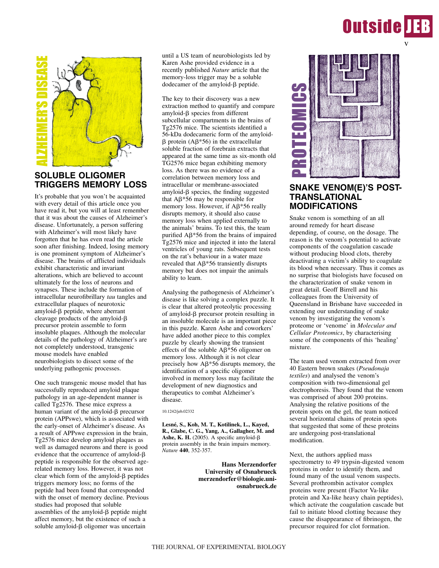# **Outside IEB**



# **SOLUBLE OLIGOMER TRIGGERS MEMORY LOSS**

It's probable that you won't be acquainted with every detail of this article once you have read it, but you will at least remember that it was about the causes of Alzheimer's disease. Unfortunately, a person suffering with Alzheimer's will most likely have forgotten that he has even read the article soon after finishing. Indeed, losing memory is one prominent symptom of Alzheimer's disease. The brains of afflicted individuals exhibit characteristic and invariant alterations, which are believed to account ultimately for the loss of neurons and synapses. These include the formation of intracellular neurofibrillary *tau* tangles and extracellular plaques of neurotoxic  $amyloid- $\beta$  peptide, where aberrant$ cleavage products of the amyloid- $\beta$ precursor protein assemble to form insoluble plaques. Although the molecular details of the pathology of Alzheimer's are not completely understood, transgenic mouse models have enabled neurobiologists to dissect some of the underlying pathogenic processes.

One such transgenic mouse model that has successfully reproduced amyloid plaque pathology in an age-dependent manner is called Tg2576. These mice express a human variant of the amyloid- $\beta$  precursor protein (APPswe), which is associated with the early-onset of Alzheimer's disease. As a result of APPswe expression in the brain, Tg2576 mice develop amyloid plaques as well as damaged neurons and there is good evidence that the occurrence of amyloid- $\beta$ peptide is responsible for the observed agerelated memory loss. However, it was not clear which form of the amyloid- $\beta$  peptides triggers memory loss; no forms of the peptide had been found that corresponded with the onset of memory decline. Previous studies had proposed that soluble assemblies of the amyloid- $\beta$  peptide might affect memory, but the existence of such a soluble amyloid- $\beta$  oligomer was uncertain

until a US team of neurobiologists led by Karen Ashe provided evidence in a recently published *Nature* article that the memory-loss trigger may be a soluble  $d$ odecamer of the amyloid- $\beta$  peptide.

The key to their discovery was a new extraction method to quantify and compare amyloid- $\beta$  species from different subcellular compartments in the brains of Tg2576 mice. The scientists identified a 56-kDa dodecameric form of the amyloid-  $\beta$  protein (A $\beta$ \*56) in the extracellular soluble fraction of forebrain extracts that appeared at the same time as six-month old TG2576 mice began exhibiting memory loss. As there was no evidence of a correlation between memory loss and intracellular or membrane-associated  $amyloid- $\beta$  species, the finding suggested$ that  $\mathbf{A}\beta^*$ 56 may be responsible for memory loss. However, if  $A\beta*56$  really disrupts memory, it should also cause memory loss when applied externally to the animals' brains. To test this, the team purified  $\mathbf{A}\beta^*$ 56 from the brains of impaired Tg2576 mice and injected it into the lateral ventricles of young rats. Subsequent tests on the rat's behaviour in a water maze revealed that  $\mathbf{A}\beta^*$ 56 transiently disrupts memory but does not impair the animals ability to learn.

Analysing the pathogenesis of Alzheimer's disease is like solving a complex puzzle. It is clear that altered proteolytic processing of amyloid- $\beta$  precursor protein resulting in an insoluble molecule is an important piece in this puzzle. Karen Ashe and coworkers' have added another piece to this complex puzzle by clearly showing the transient effects of the soluble  $A\beta*56$  oligomer on memory loss. Although it is not clear precisely how  $\mathbf{A}\beta^*$ 56 disrupts memory, the identification of a specific oligomer involved in memory loss may facilitate the development of new diagnostics and therapeutics to combat Alzheimer's disease.

### 10.1242/jeb.02332

**Lesné, S., Koh, M. T., Kotilinek, L., Kayed, R., Glabe, C. G., Yang, A., Gallagher, M. and** Ashe, K. H.  $(2005)$ . A specific amyloid- $\beta$ protein assembly in the brain impairs memory. *Nature* **440**, 352-357.

> **Hans Merzendorfer University of Osnabrueck merzendorfer@biologie.uniosnabrueck.de**



## **SNAKE VENOM(E)'S POST-TRANSLATIONAL MODIFICATIONS**

Snake venom is something of an all around remedy for heart disease depending, of course, on the dosage. The reason is the venom's potential to activate components of the coagulation cascade without producing blood clots, thereby deactivating a victim's ability to coagulate its blood when necessary. Thus it comes as no surprise that biologists have focused on the characterization of snake venom in great detail. Geoff Birrell and his colleagues from the University of Queensland in Brisbane have succeeded in extending our understanding of snake venom by investigating the venom's proteome or 'venome' in *Molecular and Cellular Proteomics*, by characterising some of the components of this 'healing' mixture. **EXAMPLE ANTIFORATIONS**<br> **EXAMPLE ANTIFORM (E)'S PO.**<br> **SINAKE VENOMICE)'S PO.**<br> **EXAMPLE ANTIFORMALE MODUFICATIONS**<br> **EXAMPLE ANTIFORMALE ANTIFORMALE AND MODIFICATIONS**<br> **EXAMPLE ANTIFORMALE ANTIFORMALE SINCE ANTIFORMALE** 

The team used venom extracted from over 40 Eastern brown snakes (*Pseudonaja textiles*) and analysed the venom's composition with two-dimensional gel electrophoresis. They found that the venom was comprised of about 200 proteins. Analysing the relative positions of the protein spots on the gel, the team noticed several horizontal chains of protein spots that suggested that some of these proteins are undergoing post-translational modification.

Next, the authors applied mass spectrometry to 49 trypsin-digested venom proteins in order to identify them, and found many of the usual venom suspects. Several prothrombin activator complex proteins were present (Factor Va-like protein and Xa-like heavy chain peptides), which activate the coagulation cascade but fail to initiate blood clotting because they cause the disappearance of fibrinogen, the